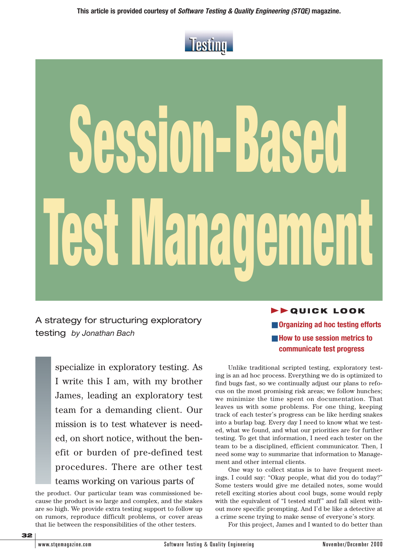

# **Session-Based Test Management**

A strategy for structuring exploratory testing *by Jonathan Bach*

> specialize in exploratory testing. As I write this I am, with my brother James, leading an exploratory test team for a demanding client. Our mission is to test whatever is needed, on short notice, without the benefit or burden of pre-defined test procedures. There are other test teams working on various parts of

the product. Our particular team was commissioned because the product is so large and complex, and the stakes are so high. We provide extra testing support to follow up on rumors, reproduce difficult problems, or cover areas that lie between the responsibilities of the other testers.

**FFQUICK LOOK** ■ **Organizing ad hoc testing efforts** ■ How to use session metrics to

**communicate test progress**

Unlike traditional scripted testing, exploratory testing is an ad hoc process. Everything we do is optimized to find bugs fast, so we continually adjust our plans to refocus on the most promising risk areas; we follow hunches; we minimize the time spent on documentation. That leaves us with some problems. For one thing, keeping track of each tester's progress can be like herding snakes into a burlap bag. Every day I need to know what we tested, what we found, and what our priorities are for further testing. To get that information, I need each tester on the team to be a disciplined, efficient communicator. Then, I need some way to summarize that information to Management and other internal clients.

One way to collect status is to have frequent meetings. I could say: "Okay people, what did you do today?" Some testers would give me detailed notes, some would retell exciting stories about cool bugs, some would reply with the equivalent of "I tested stuff" and fall silent without more specific prompting. And I'd be like a detective at a crime scene trying to make sense of everyone's story.

For this project, James and I wanted to do better than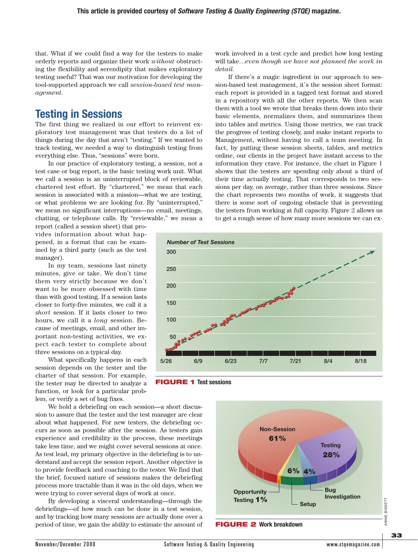that. What if we could find a way for the testers to make orderly reports and organize their work *without* obstructing the flexibility and serendipity that makes exploratory testing useful? That was our motivation for developing the tool-supported approach we call *session-based test management.*

## **Testing in Sessions**

The first thing we realized in our effort to reinvent exploratory test management was that testers do a lot of things during the day that aren't "testing." If we wanted to track testing, we needed a way to distinguish testing from everything else. Thus, "sessions" were born.

In our practice of exploratory testing, a session, not a test case or bug report, is the basic testing work unit. What we call a session is an uninterrupted block of reviewable, chartered test effort. By "chartered," we mean that each session is associated with a mission—what we are testing, or what problems we are looking for. By "uninterrupted," we mean no significant interruptions—no email, meetings, chatting, or telephone calls. By "reviewable," we mean a

report (called a session sheet) that provides information about what happened, in a format that can be examined by a third party (such as the test manager).

In my team, sessions last ninety minutes, give or take. We don't time them very strictly because we don't want to be more obsessed with time than with good testing. If a session lasts closer to forty-five minutes, we call it a *short* session. If it lasts closer to two hours, we call it a *long* session. Because of meetings, email, and other important non-testing activities, we expect each tester to complete about three sessions on a typical day.

What specifically happens in each session depends on the tester and the charter of that session. For example, the tester may be directed to analyze a function, or look for a particular problem, or verify a set of bug fixes.

We hold a debriefing on each session—a short discussion to assure that the tester and the test manager are clear about what happened. For new testers, the debriefing occurs as soon as possible after the session. As testers gain experience and credibility in the process, these meetings take less time, and we might cover several sessions at once. As test lead, my primary objective in the debriefing is to understand and accept the session report. Another objective is to provide feedback and coaching to the tester. We find that the brief, focused nature of sessions makes the debriefing process more tractable than it was in the old days, when we were trying to cover several days of work at once.

By developing a visceral understanding—through the debriefings—of how much can be done in a test session, and by tracking how many sessions are actually done over a period of time, we gain the ability to estimate the amount of work involved in a test cycle and predict how long testing will take…*even though we have not planned the work in detail.*

If there's a magic ingredient in our approach to session-based test management, it's the session sheet format: each report is provided in a tagged text format and stored in a repository with all the other reports. We then scan them with a tool we wrote that breaks them down into their basic elements, normalizes them, and summarizes them into tables and metrics. Using those metrics, we can track the progress of testing closely, and make instant reports to Management, without having to call a team meeting. In fact, by putting these session sheets, tables, and metrics online, our clients in the project have instant access to the information they crave. For instance, the chart in Figure 1 shows that the testers are spending only about a third of their time actually testing. That corresponds to two sessions per day, on average, rather than three sessions. Since the chart represents two months of work, it suggests that there is some sort of ongoing obstacle that is preventing the testers from working at full capacity. Figure 2 allows us to get a rough sense of how many more sessions we can ex-





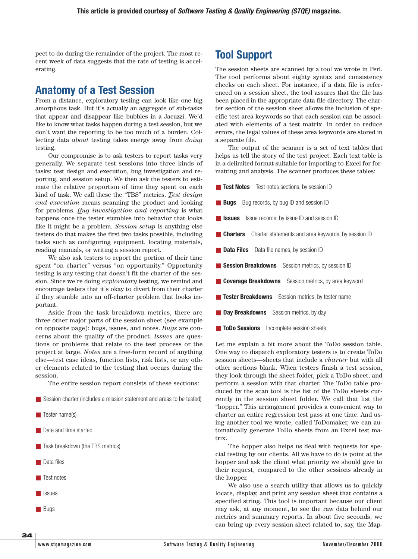pect to do during the remainder of the project. The most recent week of data suggests that the rate of testing is accelerating.

# **Anatomy of a Test Session**

From a distance, exploratory testing can look like one big amorphous task. But it's actually an aggregate of sub-tasks that appear and disappear like bubbles in a Jacuzzi. We'd like to know what tasks happen during a test session, but we don't want the reporting to be too much of a burden. Collecting data *about* testing takes energy away from *doing* testing.

Our compromise is to ask testers to report tasks very generally. We separate test sessions into three kinds of tasks: test design and execution, bug investigation and reporting, and session setup. We then ask the testers to estimate the relative proportion of time they spent on each kind of task. We call these the "TBS" metrics. *Test design and execution* means scanning the product and looking for problems. *Bug investigation and reporting* is what happens once the tester stumbles into behavior that looks like it might be a problem. *Session setup* is anything else testers do that makes the first two tasks possible, including tasks such as configuring equipment, locating materials, reading manuals, or writing a session report.

We also ask testers to report the portion of their time spent "on charter" versus "on opportunity." Opportunity testing is any testing that doesn't fit the charter of the session. Since we're doing *exploratory* testing, we remind and encourage testers that it's okay to divert from their charter if they stumble into an off-charter problem that looks important.

Aside from the task breakdown metrics, there are three other major parts of the session sheet (see example on opposite page): bugs, issues, and notes. *Bugs* are concerns about the quality of the product. *Issues* are questions or problems that relate to the test process or the project at large. *Notes* are a free-form record of anything else—test case ideas, function lists, risk lists, or any other elements related to the testing that occurs during the session.

The entire session report consists of these sections:

- Session charter (includes a mission statement and areas to be tested)
- Tester name(s)
- Date and time started
- Task breakdown (the TBS metrics)
- Data files
- Test notes
- Issues
- Bugs

**34**

### **Tool Support**

The session sheets are scanned by a tool we wrote in Perl. The tool performs about eighty syntax and consistency checks on each sheet. For instance, if a data file is referenced on a session sheet, the tool assures that the file has been placed in the appropriate data file directory. The charter section of the session sheet allows the inclusion of specific test area keywords so that each session can be associated with elements of a test matrix. In order to reduce errors, the legal values of these area keywords are stored in a separate file.

The output of the scanner is a set of text tables that helps us tell the story of the test project. Each text table is in a delimited format suitable for importing to Excel for formatting and analysis. The scanner produces these tables:

- **Test Notes** Test notes sections, by session ID
- **Bugs** Bug records, by bug ID and session ID
- **Issues** Issue records, by issue ID and session ID
- **Charters** Charter statements and area keywords, by session ID
- **Data Files** Data file names, by session ID
- **Session Breakdowns** Session metrics, by session ID
- **Coverage Breakdowns** Session metrics, by area keyword
- **Tester Breakdowns** Session metrics, by tester name
- **Day Breakdowns** Session metrics, by day
- **ToDo Sessions** Incomplete session sheets

Let me explain a bit more about the ToDo session table. One way to dispatch exploratory testers is to create ToDo session sheets—sheets that include a *charter* but with all other sections blank. When testers finish a test session, they look through the sheet folder, pick a ToDo sheet, and perform a session with that charter. The ToDo table produced by the scan tool is the list of the ToDo sheets currently in the session sheet folder. We call that list the "hopper." This arrangement provides a convenient way to charter an entire regression test pass at one time. And using another tool we wrote, called ToDomaker, we can automatically generate ToDo sheets from an Excel test matrix.

The hopper also helps us deal with requests for special testing by our clients. All we have to do is point at the hopper and ask the client what priority we should give to their request, compared to the other sessions already in the hopper.

We also use a search utility that allows us to quickly locate, display, and print any session sheet that contains a specified string. This tool is important because our client may ask, at any moment, to see the raw data behind our metrics and summary reports. In about five seconds, we can bring up every session sheet related to, say, the Map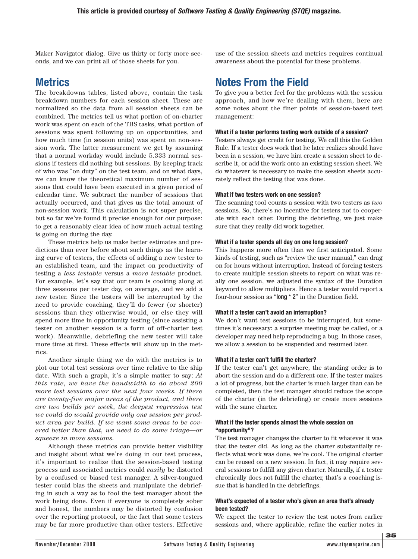Maker Navigator dialog. Give us thirty or forty more seconds, and we can print all of those sheets for you.

**Metrics**

The breakdowns tables, listed above, contain the task breakdown numbers for each session sheet. These are normalized so the data from all session sheets can be combined. The metrics tell us what portion of on-charter work was spent on each of the TBS tasks, what portion of sessions was spent following up on opportunities, and how much time (in session units) was spent on non-session work. The latter measurement we get by assuming that a normal workday would include 5.333 normal sessions if testers did nothing but sessions. By keeping track of who was "on duty" on the test team, and on what days, we can know the theoretical maximum number of sessions that could have been executed in a given period of calendar time. We subtract the number of sessions that actually occurred, and that gives us the total amount of non-session work. This calculation is not super precise, but so far we've found it precise enough for our purpose: to get a reasonably clear idea of how much actual testing is going on during the day.

These metrics help us make better estimates and predictions than ever before about such things as the learning curve of testers, the effects of adding a new tester to an established team, and the impact on productivity of testing a *less testable* versus a *more testable* product. For example, let's say that our team is cooking along at three sessions per tester day, on average, and we add a new tester. Since the testers will be interrupted by the need to provide coaching, they'll do fewer (or shorter) sessions than they otherwise would, or else they will spend more time in opportunity testing (since assisting a tester on another session is a form of off-charter test work). Meanwhile, debriefing the new tester will take more time at first. These effects will show up in the metrics.

Another simple thing we do with the metrics is to plot our total test sessions over time relative to the ship date. With such a graph, it's a simple matter to say: *At this rate, we have the bandwidth to do about 200 more test sessions over the next four weeks. If there are twenty-five major areas of the product, and there are two builds per week, the deepest regression test we could do would provide only one session per product area per build. If we want some areas to be covered better than that, we need to do some triage—or squeeze in more sessions.*

Although these metrics can provide better visibility and insight about what we're doing in our test process, it's important to realize that the session-based testing process and associated metrics could *easily* be distorted by a confused or biased test manager. A silver-tongued tester could bias the sheets and manipulate the debriefing in such a way as to fool the test manager about the work being done. Even if everyone is completely sober and honest, the numbers may be distorted by confusion over the reporting protocol, or the fact that some testers may be far more productive than other testers. Effective use of the session sheets and metrics requires continual awareness about the potential for these problems.

# **Notes From the Field**

To give you a better feel for the problems with the session approach, and how we're dealing with them, here are some notes about the finer points of session-based test management:

#### **What if a tester performs testing work outside of a session?**

Testers always get credit for testing. We call this the Golden Rule. If a tester does work that he later realizes should have been in a session, we have him create a session sheet to describe it, or add the work onto an existing session sheet. We do whatever is necessary to make the session sheets accurately reflect the testing that was done.

#### **What if two testers work on one session?**

The scanning tool counts a session with two testers as *two* sessions. So, there's no incentive for testers not to cooperate with each other. During the debriefing, we just make sure that they really did work together.

#### **What if a tester spends all day on one long session?**

This happens more often than we first anticipated. Some kinds of testing, such as "review the user manual," can drag on for hours without interruption. Instead of forcing testers to create multiple session sheets to report on what was really one session, we adjusted the syntax of the Duration keyword to allow multipliers. Hence a tester would report a four-hour session as "long \* 2" in the Duration field.

#### **What if a tester can't avoid an interruption?**

We don't want test sessions to be interrupted, but sometimes it's necessary: a surprise meeting may be called, or a developer may need help reproducing a bug. In those cases, we allow a session to be suspended and resumed later.

#### **What if a tester can't fulfill the charter?**

If the tester can't get anywhere, the standing order is to abort the session and do a different one. If the tester makes a lot of progress, but the charter is much larger than can be completed, then the test manager should reduce the scope of the charter (in the debriefing) or create more sessions with the same charter.

#### **What if the tester spends almost the whole session on "opportunity"?**

The test manager changes the charter to fit whatever it was that the tester did. As long as the charter substantially reflects what work was done, we're cool. The original charter can be reused on a new session. In fact, it may require several sessions to fulfill any given charter. Naturally, if a tester chronically does not fulfill the charter, that's a coaching issue that is handled in the debriefings.

#### **What's expected of a tester who's given an area that's already been tested?**

We expect the tester to review the test notes from earlier sessions and, where applicable, refine the earlier notes in

**35**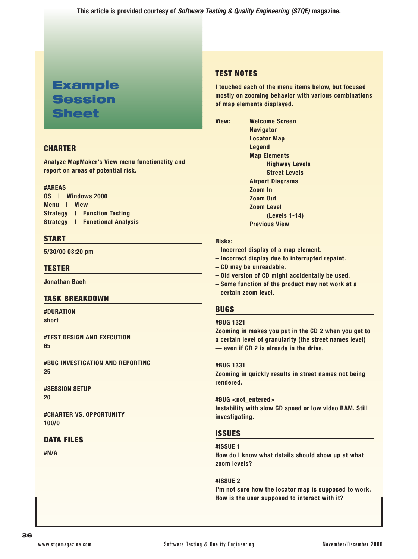**This article is provided courtesy of Software Testing & Quality Engineering (STQE) magazine.**

# **Example Session Sheet**

#### **CHARTER**

**Analyze MapMaker's View menu functionality and report on areas of potential risk.**

#### **#AREAS**

|             | OS   Windows 2000 |  |                                       |
|-------------|-------------------|--|---------------------------------------|
| Menu I View |                   |  |                                       |
|             |                   |  | <b>Strategy   Function Testing</b>    |
|             |                   |  | <b>Strategy   Functional Analysis</b> |

#### **START**

**5/30/00 03:20 pm**

#### **TESTER**

**Jonathan Bach**

#### **TASK BREAKDOWN**

**#DURATION short**

**#TEST DESIGN AND EXECUTION 65**

**#BUG INVESTIGATION AND REPORTING 25**

**#SESSION SETUP 20**

**#CHARTER VS. OPPORTUNITY 100/0**

#### **DATA FILES**

**#N/A**

#### **TEST NOTES**

**I touched each of the menu items below, but focused mostly on zooming behavior with various combinations of map elements displayed.**

**View: Welcome Screen Navigator Locator Map Legend Map Elements Highway Levels Street Levels Airport Diagrams Zoom In Zoom Out Zoom Level (Levels 1-14) Previous View**

#### **Risks:**

- **Incorrect display of a map element.**
- **Incorrect display due to interrupted repaint.**
- **CD may be unreadable.**
- **Old version of CD might accidentally be used.**
- **Some function of the product may not work at a certain zoom level.**

#### **BUGS**

#### **#BUG 1321**

**Zooming in makes you put in the CD 2 when you get to a certain level of granularity (the street names level) — even if CD 2 is already in the drive.**

**#BUG 1331 Zooming in quickly results in street names not being rendered.**

**#BUG <not\_entered> Instability with slow CD speed or low video RAM. Still investigating.**

#### **ISSUES**

#### **#ISSUE 1**

**How do I know what details should show up at what zoom levels?**

**#ISSUE 2 I'm not sure how the locator map is supposed to work. How is the user supposed to interact with it?**